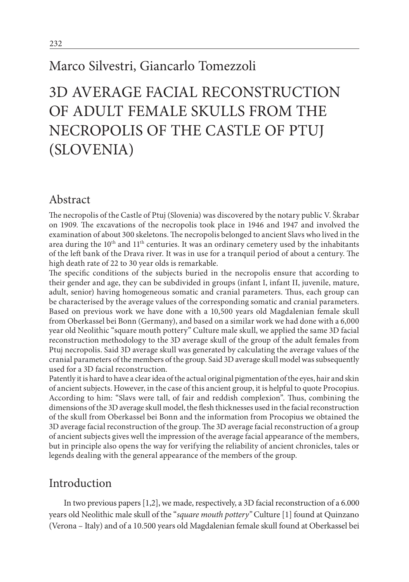## Marco Silvestri, Giancarlo Tomezzoli

# 3D AVERAGE FACIAL RECONSTRUCTION OF ADULT FEMALE SKULLS FROM THE NECROPOLIS OF THE CASTLE OF PTUJ (SLOVENIA)

#### Abstract

The necropolis of the Castle of Ptuj (Slovenia) was discovered by the notary public V. Škrabar on 1909. The excavations of the necropolis took place in 1946 and 1947 and involved the examination of about 300 skeletons. The necropolis belonged to ancient Slavs who lived in the area during the  $10<sup>th</sup>$  and  $11<sup>th</sup>$  centuries. It was an ordinary cemetery used by the inhabitants of the left bank of the Drava river. It was in use for a tranquil period of about a century. The high death rate of 22 to 30 year olds is remarkable.

The specific conditions of the subjects buried in the necropolis ensure that according to their gender and age, they can be subdivided in groups (infant I, infant II, juvenile, mature, adult, senior) having homogeneous somatic and cranial parameters. Thus, each group can be characterised by the average values of the corresponding somatic and cranial parameters. Based on previous work we have done with a 10,500 years old Magdalenian female skull from Oberkassel bei Bonn (Germany), and based on a similar work we had done with a 6,000 year old Neolithic "square mouth pottery" Culture male skull, we applied the same 3D facial reconstruction methodology to the 3D average skull of the group of the adult females from Ptuj necropolis. Said 3D average skull was generated by calculating the average values of the cranial parameters of the members of the group. Said 3D average skull model was subsequently used for a 3D facial reconstruction.

Patently it is hard to have a clear idea of the actual original pigmentation of the eyes, hair and skin of ancient subjects. However, in the case of this ancient group, it is helpful to quote Procopius. According to him: "Slavs were tall, of fair and reddish complexion". Thus, combining the dimensions of the 3D average skull model, the flesh thicknesses used in the facial reconstruction of the skull from Oberkassel bei Bonn and the information from Procopius we obtained the 3D average facial reconstruction of the group. The 3D average facial reconstruction of a group of ancient subjects gives well the impression of the average facial appearance of the members, but in principle also opens the way for verifying the reliability of ancient chronicles, tales or legends dealing with the general appearance of the members of the group.

#### Introduction

In two previous papers [1,2], we made, respectively, a 3D facial reconstruction of a 6.000 years old Neolithic male skull of the "*square mouth pottery"* Culture [1] found at Quinzano (Verona – Italy) and of a 10.500 years old Magdalenian female skull found at Oberkassel bei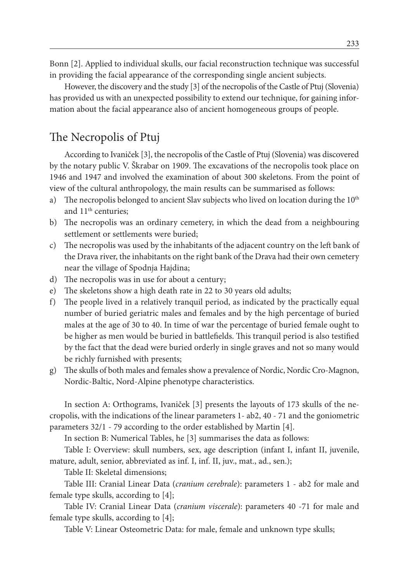Bonn [2]. Applied to individual skulls, our facial reconstruction technique was successful in providing the facial appearance of the corresponding single ancient subjects.

However, the discovery and the study [3] of the necropolis of the Castle of Ptuj (Slovenia) has provided us with an unexpected possibility to extend our technique, for gaining information about the facial appearance also of ancient homogeneous groups of people.

#### The Necropolis of Ptuj

According to Ivaniček [3], the necropolis of the Castle of Ptuj (Slovenia) was discovered by the notary public V. Škrabar on 1909. The excavations of the necropolis took place on 1946 and 1947 and involved the examination of about 300 skeletons. From the point of view of the cultural anthropology, the main results can be summarised as follows:

- a) The necropolis belonged to ancient Slav subjects who lived on location during the  $10<sup>th</sup>$ and 11<sup>th</sup> centuries;
- b) The necropolis was an ordinary cemetery, in which the dead from a neighbouring settlement or settlements were buried;
- c) The necropolis was used by the inhabitants of the adjacent country on the left bank of the Drava river, the inhabitants on the right bank of the Drava had their own cemetery near the village of Spodnja Hajdina;
- d) The necropolis was in use for about a century;
- e) The skeletons show a high death rate in 22 to 30 years old adults;
- f) The people lived in a relatively tranquil period, as indicated by the practically equal number of buried geriatric males and females and by the high percentage of buried males at the age of 30 to 40. In time of war the percentage of buried female ought to be higher as men would be buried in battlefields. This tranquil period is also testified by the fact that the dead were buried orderly in single graves and not so many would be richly furnished with presents;
- g) The skulls of both males and females show a prevalence of Nordic, Nordic Cro-Magnon, Nordic-Baltic, Nord-Alpine phenotype characteristics.

In section A: Orthograms, Ivaniček [3] presents the layouts of 173 skulls of the necropolis, with the indications of the linear parameters 1- ab2, 40 - 71 and the goniometric parameters 32/1 - 79 according to the order established by Martin [4].

In section B: Numerical Tables, he [3] summarises the data as follows:

Table I: Overview: skull numbers, sex, age description (infant I, infant II, juvenile, mature, adult, senior, abbreviated as inf. I, inf. II, juv., mat., ad., sen.);

Table II: Skeletal dimensions;

Table III: Cranial Linear Data (*cranium cerebrale*): parameters 1 - ab2 for male and female type skulls, according to [4];

Table IV: Cranial Linear Data (*cranium viscerale*): parameters 40 -71 for male and female type skulls, according to [4];

Table V: Linear Osteometric Data: for male, female and unknown type skulls;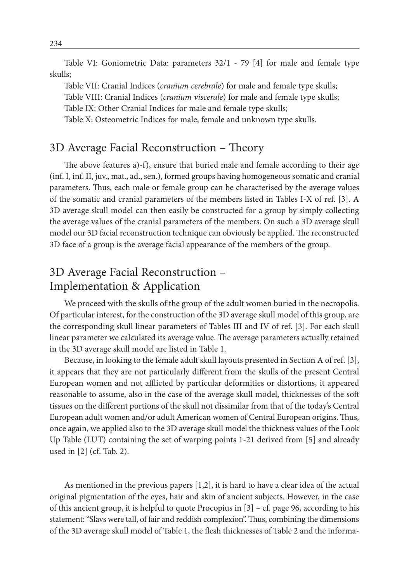Table VI: Goniometric Data: parameters 32/1 - 79 [4] for male and female type skulls;

Table VII: Cranial Indices (*cranium cerebrale*) for male and female type skulls; Table VIII: Cranial Indices (*cranium viscerale*) for male and female type skulls; Table IX: Other Cranial Indices for male and female type skulls; Table X: Osteometric Indices for male, female and unknown type skulls.

## 3D Average Facial Reconstruction – Theory

The above features a)-f), ensure that buried male and female according to their age (inf. I, inf. II, juv., mat., ad., sen.), formed groups having homogeneous somatic and cranial parameters. Thus, each male or female group can be characterised by the average values of the somatic and cranial parameters of the members listed in Tables I-X of ref. [3]. A 3D average skull model can then easily be constructed for a group by simply collecting the average values of the cranial parameters of the members. On such a 3D average skull model our 3D facial reconstruction technique can obviously be applied. The reconstructed 3D face of a group is the average facial appearance of the members of the group.

#### 3D Average Facial Reconstruction – Implementation & Application

We proceed with the skulls of the group of the adult women buried in the necropolis. Of particular interest, for the construction of the 3D average skull model of this group, are the corresponding skull linear parameters of Tables III and IV of ref. [3]. For each skull linear parameter we calculated its average value. The average parameters actually retained in the 3D average skull model are listed in Table 1.

Because, in looking to the female adult skull layouts presented in Section A of ref. [3], it appears that they are not particularly different from the skulls of the present Central European women and not afflicted by particular deformities or distortions, it appeared reasonable to assume, also in the case of the average skull model, thicknesses of the soft tissues on the different portions of the skull not dissimilar from that of the today's Central European adult women and/or adult American women of Central European origins. Thus, once again, we applied also to the 3D average skull model the thickness values of the Look Up Table (LUT) containing the set of warping points 1-21 derived from [5] and already used in [2] (cf. Tab. 2).

As mentioned in the previous papers [1,2], it is hard to have a clear idea of the actual original pigmentation of the eyes, hair and skin of ancient subjects. However, in the case of this ancient group, it is helpful to quote Procopius in [3] – cf. page 96, according to his statement: "Slavs were tall, of fair and reddish complexion". Thus, combining the dimensions of the 3D average skull model of Table 1, the flesh thicknesses of Table 2 and the informa-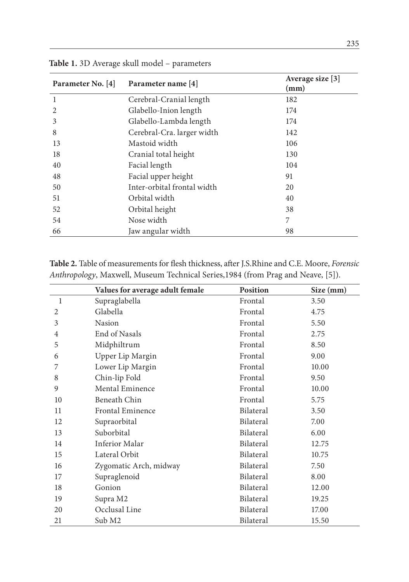| Parameter No. [4] | Parameter name [4]          | Average size [3]<br>(mm) |
|-------------------|-----------------------------|--------------------------|
| 1                 | Cerebral-Cranial length     | 182                      |
| 2                 | Glabello-Inion length       | 174                      |
| 3                 | Glabello-Lambda length      | 174                      |
| 8                 | Cerebral-Cra. larger width  | 142                      |
| 13                | Mastoid width               | 106                      |
| 18                | Cranial total height        | 130                      |
| 40                | Facial length               | 104                      |
| 48                | Facial upper height         | 91                       |
| 50                | Inter-orbital frontal width | 20                       |
| 51                | Orbital width               | 40                       |
| 52                | Orbital height              | 38                       |
| 54                | Nose width                  | 7                        |
| 66                | Jaw angular width           | 98                       |

**Table 1.** 3D Average skull model – parameters

**Table 2.** Table of measurements for flesh thickness, after J.S.Rhine and C.E. Moore, *Forensic Anthropology*, Maxwell, Museum Technical Series,1984 (from Prag and Neave, [5]).

|                | Values for average adult female | <b>Position</b> | Size (mm) |
|----------------|---------------------------------|-----------------|-----------|
| 1              | Supraglabella                   | Frontal         | 3.50      |
| $\overline{c}$ | Glabella                        | Frontal         | 4.75      |
| 3              | Nasion                          | Frontal         | 5.50      |
| 4              | End of Nasals                   | Frontal         | 2.75      |
| 5              | Midphiltrum                     | Frontal         | 8.50      |
| 6              | Upper Lip Margin                | Frontal         | 9.00      |
| 7              | Lower Lip Margin                | Frontal         | 10.00     |
| 8              | Chin-lip Fold                   | Frontal         | 9.50      |
| 9              | Mental Eminence                 | Frontal         | 10.00     |
| 10             | Beneath Chin                    | Frontal         | 5.75      |
| 11             | <b>Frontal Eminence</b>         | Bilateral       | 3.50      |
| 12             | Supraorbital                    | Bilateral       | 7.00      |
| 13             | Suborbital                      | Bilateral       | 6.00      |
| 14             | Inferior Malar                  | Bilateral       | 12.75     |
| 15             | Lateral Orbit                   | Bilateral       | 10.75     |
| 16             | Zygomatic Arch, midway          | Bilateral       | 7.50      |
| 17             | Supraglenoid                    | Bilateral       | 8.00      |
| 18             | Gonion                          | Bilateral       | 12.00     |
| 19             | Supra M2                        | Bilateral       | 19.25     |
| 20             | Occlusal Line                   | Bilateral       | 17.00     |
| 21             | Sub M2                          | Bilateral       | 15.50     |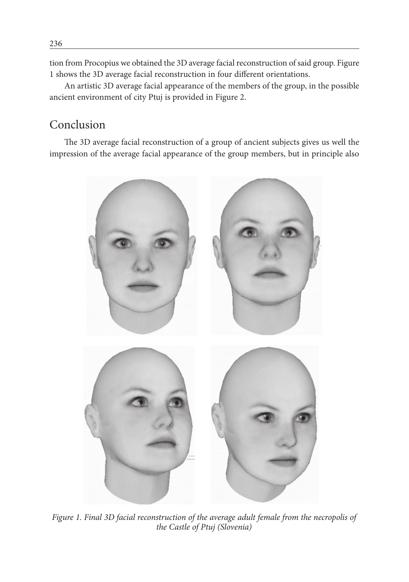tion from Procopius we obtained the 3D average facial reconstruction of said group. Figure 1 shows the 3D average facial reconstruction in four different orientations.

An artistic 3D average facial appearance of the members of the group, in the possible ancient environment of city Ptuj is provided in Figure 2.

#### Conclusion

The 3D average facial reconstruction of a group of ancient subjects gives us well the impression of the average facial appearance of the group members, but in principle also



*Figure 1. Final 3D facial reconstruction of the average adult female from the necropolis of the Castle of Ptuj (Slovenia)*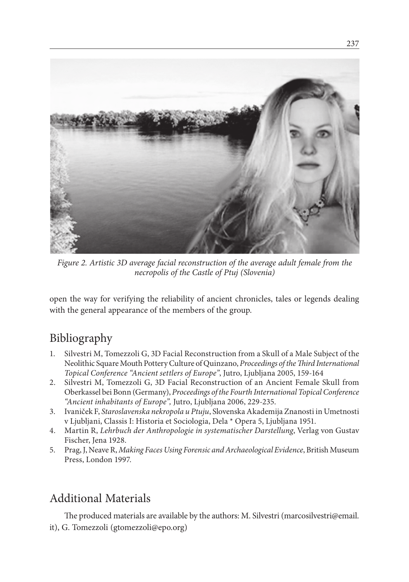

*Figure 2. Artistic 3D average facial reconstruction of the average adult female from the necropolis of the Castle of Ptuj (Slovenia)*

open the way for verifying the reliability of ancient chronicles, tales or legends dealing with the general appearance of the members of the group.

## Bibliography

- 1. Silvestri M, Tomezzoli G, 3D Facial Reconstruction from a Skull of a Male Subject of the Neolithic Square Mouth Pottery Culture of Quinzano, *Proceedings of the Third International Topical Conference "Ancient settlers of Europe"*, Jutro, Ljubljana 2005, 159-164
- 2. Silvestri M, Tomezzoli G, 3D Facial Reconstruction of an Ancient Female Skull from Oberkassel bei Bonn (Germany), *Proceedings of the Fourth International Topical Conference "Ancient inhabitants of Europe",* Jutro, Ljubljana 2006, 229-235.
- 3. Ivaniček F, *Staroslavenska nekropola u Ptuju*, Slovenska Akademija Znanosti in Umetnosti v Ljubljani, Classis I: Historia et Sociologia, Dela \* Opera 5, Ljubljana 1951.
- 4. Martin R, *Lehrbuch der Anthropologie in systematischer Darstellung*, Verlag von Gustav Fischer, Jena 1928.
- 5. Prag, J, Neave R, *Making Faces Using Forensic and Archaeological Evidence*, British Museum Press, London 1997.

## Additional Materials

The produced materials are available by the authors: M. Silvestri (marcosilvestri@email. it), G. Tomezzoli (gtomezzoli@epo.org)